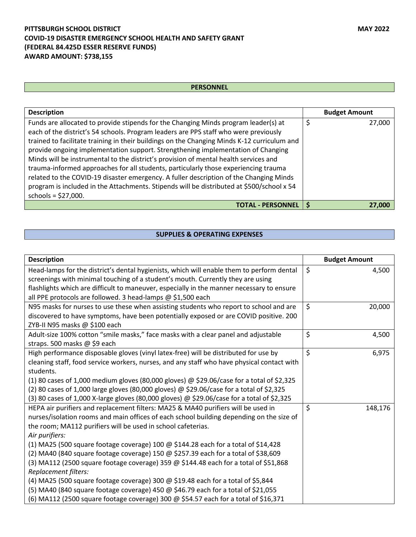## **PITTSBURGH SCHOOL DISTRICT MAY 2022 COVID-19 DISASTER EMERGENCY SCHOOL HEALTH AND SAFETY GRANT (FEDERAL 84.425D ESSER RESERVE FUNDS) AWARD AMOUNT: \$738,155**

## **PERSONNEL**

| <b>Description</b>                                                                                                                                                              | <b>Budget Amount</b> |
|---------------------------------------------------------------------------------------------------------------------------------------------------------------------------------|----------------------|
| Funds are allocated to provide stipends for the Changing Minds program leader(s) at<br>each of the district's 54 schools. Program leaders are PPS staff who were previously     | 27,000               |
| trained to facilitate training in their buildings on the Changing Minds K-12 curriculum and<br>provide ongoing implementation support. Strengthening implementation of Changing |                      |
| Minds will be instrumental to the district's provision of mental health services and                                                                                            |                      |
| trauma-informed approaches for all students, particularly those experiencing trauma<br>related to the COVID-19 disaster emergency. A fuller description of the Changing Minds   |                      |
| program is included in the Attachments. Stipends will be distributed at \$500/school x 54<br>schools = $$27,000$ .                                                              |                      |
| <b>TOTAL - PERSONNEL</b>                                                                                                                                                        | 27,000               |

## **SUPPLIES & OPERATING EXPENSES**

| <b>Description</b>                                                                          | <b>Budget Amount</b> |
|---------------------------------------------------------------------------------------------|----------------------|
| Head-lamps for the district's dental hygienists, which will enable them to perform dental   | \$<br>4,500          |
| screenings with minimal touching of a student's mouth. Currently they are using             |                      |
| flashlights which are difficult to maneuver, especially in the manner necessary to ensure   |                      |
| all PPE protocols are followed. 3 head-lamps @ \$1,500 each                                 |                      |
| N95 masks for nurses to use these when assisting students who report to school and are      | \$<br>20,000         |
| discovered to have symptoms, have been potentially exposed or are COVID positive. 200       |                      |
| ZYB-II N95 masks @ \$100 each                                                               |                      |
| Adult-size 100% cotton "smile masks," face masks with a clear panel and adjustable          | \$<br>4,500          |
| straps. 500 masks @ \$9 each                                                                |                      |
| High performance disposable gloves (vinyl latex-free) will be distributed for use by        | \$<br>6,975          |
| cleaning staff, food service workers, nurses, and any staff who have physical contact with  |                      |
| students.                                                                                   |                      |
| (1) 80 cases of 1,000 medium gloves (80,000 gloves) @ \$29.06/case for a total of \$2,325   |                      |
| (2) 80 cases of 1,000 large gloves (80,000 gloves) @ \$29.06/case for a total of \$2,325    |                      |
| (3) 80 cases of 1,000 X-large gloves (80,000 gloves) @ \$29.06/case for a total of \$2,325  |                      |
| HEPA air purifiers and replacement filters: MA25 & MA40 purifiers will be used in           | \$<br>148,176        |
| nurses/isolation rooms and main offices of each school building depending on the size of    |                      |
| the room; MA112 purifiers will be used in school cafeterias.                                |                      |
| Air purifiers:                                                                              |                      |
| (1) MA25 (500 square footage coverage) 100 $\omega$ \$144.28 each for a total of \$14,428   |                      |
| (2) MA40 (840 square footage coverage) 150 $\omega$ \$257.39 each for a total of \$38,609   |                      |
| (3) MA112 (2500 square footage coverage) 359 $\omega$ \$144.48 each for a total of \$51,868 |                      |
| Replacement filters:                                                                        |                      |
| (4) MA25 (500 square footage coverage) 300 @ \$19.48 each for a total of \$5,844            |                      |
| (5) MA40 (840 square footage coverage) 450 @ \$46.79 each for a total of \$21,055           |                      |
| (6) MA112 (2500 square footage coverage) 300 @ \$54.57 each for a total of \$16,371         |                      |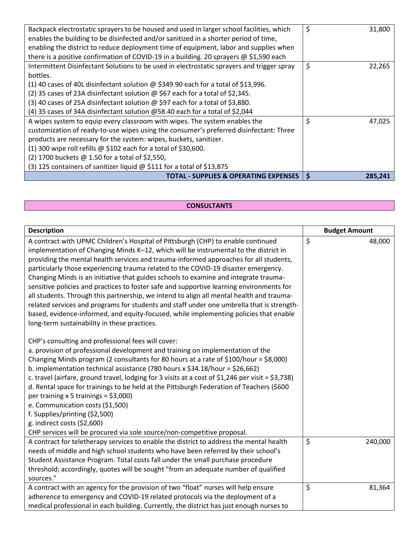| (3) 125 containers of sanitizer liquid @ \$111 for a total of \$13,875                     |              |
|--------------------------------------------------------------------------------------------|--------------|
|                                                                                            |              |
| (2) 1700 buckets @ 1.50 for a total of \$2,550,                                            |              |
| (1) 300 wipe roll refills $\omega$ \$102 each for a total of \$30,600.                     |              |
| products are necessary for the system: wipes, buckets, sanitizer.                          |              |
| customization of ready-to-use wipes using the consumer's preferred disinfectant: Three     |              |
| A wipes system to equip every classroom with wipes. The system enables the                 | \$<br>47,025 |
| (4) 35 cases of 34A disinfectant solution @58.40 each for a total of \$2,044               |              |
| (3) 40 cases of 25A disinfectant solution @ \$97 each for a total of \$3,880.              |              |
| (2) 35 cases of 23A disinfectant solution @ \$67 each for a total of \$2,345.              |              |
| (1) 40 cases of 40L disinfectant solution $\omega$ \$349.90 each for a total of \$13,996.  |              |
| bottles.                                                                                   |              |
| Intermittent Disinfectant Solutions to be used in electrostatic sprayers and trigger spray | \$<br>22,265 |
| there is a positive confirmation of COVID-19 in a building. 20 sprayers @ \$1,590 each     |              |
| enabling the district to reduce deployment time of equipment, labor and supplies when      |              |
| enables the building to be disinfected and/or sanitized in a shorter period of time,       |              |
| Backpack electrostatic sprayers to be housed and used in larger school facilities, which   | \$<br>31,800 |

## **CONSULTANTS**

| <b>Description</b>                                                                                                                                                                                                                                                                                                                                                                                                                                                                                                                                                                                                                                                                                                                                                                                                                                                            |         | <b>Budget Amount</b> |
|-------------------------------------------------------------------------------------------------------------------------------------------------------------------------------------------------------------------------------------------------------------------------------------------------------------------------------------------------------------------------------------------------------------------------------------------------------------------------------------------------------------------------------------------------------------------------------------------------------------------------------------------------------------------------------------------------------------------------------------------------------------------------------------------------------------------------------------------------------------------------------|---------|----------------------|
| A contract with UPMC Children's Hospital of Pittsburgh (CHP) to enable continued<br>implementation of Changing Minds K-12, which will be instrumental to the district in<br>providing the mental health services and trauma-informed approaches for all students,<br>particularly those experiencing trauma related to the COVID-19 disaster emergency.<br>Changing Minds is an initiative that guides schools to examine and integrate trauma-<br>sensitive policies and practices to foster safe and supportive learning environments for<br>all students. Through this partnership, we intend to align all mental health and trauma-<br>related services and programs for students and staff under one umbrella that is strength-<br>based, evidence-informed, and equity-focused, while implementing policies that enable<br>long-term sustainability in these practices. | \$      | 48,000               |
| CHP's consulting and professional fees will cover:<br>a. provision of professional development and training on implementation of the<br>Changing Minds program (2 consultants for 80 hours at a rate of \$100/hour = \$8,000)<br>b. implementation technical assistance (780 hours x \$34.18/hour = \$26,662)<br>c. travel (airfare, ground travel, lodging for 3 visits at a cost of \$1,246 per visit = \$3,738)<br>d. Rental space for trainings to be held at the Pittsburgh Federation of Teachers (\$600<br>per training $x 5$ trainings = \$3,000)<br>e. Communication costs (\$1,500)<br>f. Supplies/printing (\$2,500)<br>g. indirect costs $(52,600)$<br>CHP services will be procured via sole source/non-competitive proposal.                                                                                                                                    |         |                      |
| A contract for teletherapy services to enable the district to address the mental health<br>needs of middle and high school students who have been referred by their school's<br>Student Assistance Program. Total costs fall under the small purchase procedure<br>threshold; accordingly, quotes will be sought "from an adequate number of qualified<br>sources."                                                                                                                                                                                                                                                                                                                                                                                                                                                                                                           | $\zeta$ | 240,000              |
| A contract with an agency for the provision of two "float" nurses will help ensure<br>adherence to emergency and COVID-19 related protocols via the deployment of a<br>medical professional in each building. Currently, the district has just enough nurses to                                                                                                                                                                                                                                                                                                                                                                                                                                                                                                                                                                                                               | \$      | 81,364               |